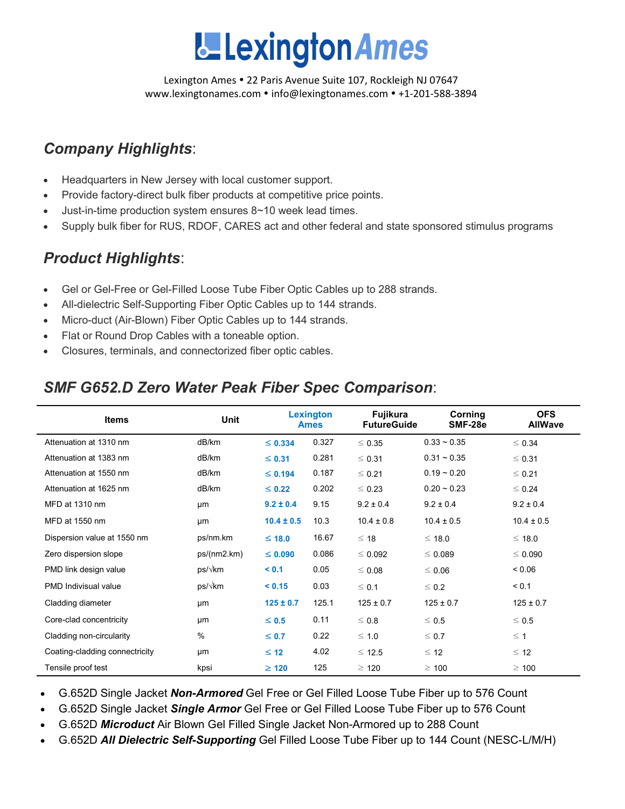

Lexington Ames • 22 Paris Avenue Suite 107, Rockleigh NJ 07647 www.lexingtonames.com • info@lexingtonames.com • +1-201-588-3894

# *Company Highlights*:

- Headquarters in New Jersey with local customer support.
- Provide factory-direct bulk fiber products at competitive price points.
- Just-in-time production system ensures 8~10 week lead times.
- Supply bulk fiber for RUS, RDOF, CARES act and other federal and state sponsored stimulus programs

## *Product Highlights*:

- Gel or Gel-Free or Gel-Filled Loose Tube Fiber Optic Cables up to 288 strands.
- All-dielectric Self-Supporting Fiber Optic Cables up to 144 strands.
- Micro-duct (Air-Blown) Fiber Optic Cables up to 144 strands.
- Flat or Round Drop Cables with a toneable option.
- Closures, terminals, and connectorized fiber optic cables.

## *SMF G652.D Zero Water Peak Fiber Spec Comparison*:

| <b>Items</b>                   | <b>Unit</b> |                | Lexington<br><b>Ames</b> | <b>Fujikura</b><br><b>FutureGuide</b> | Corning<br>SMF-28e | <b>OFS</b><br><b>AllWave</b> |
|--------------------------------|-------------|----------------|--------------------------|---------------------------------------|--------------------|------------------------------|
| Attenuation at 1310 nm         | dB/km       | $\leq$ 0.334   | 0.327                    | $\leq 0.35$                           | $0.33 \sim 0.35$   | $\leq 0.34$                  |
| Attenuation at 1383 nm         | dB/km       | $\leq$ 0.31    | 0.281                    | $\leq 0.31$                           | $0.31 - 0.35$      | $\leq 0.31$                  |
| Attenuation at 1550 nm         | dB/km       | $\leq$ 0.194   | 0.187                    | $\leq 0.21$                           | $0.19 - 0.20$      | $\leq 0.21$                  |
| Attenuation at 1625 nm         | dB/km       | $\leq 0.22$    | 0.202                    | $\leq 0.23$                           | $0.20 - 0.23$      | $\leq 0.24$                  |
| MFD at 1310 nm                 | μm          | $9.2 \pm 0.4$  | 9.15                     | $9.2 \pm 0.4$                         | $9.2 \pm 0.4$      | $9.2 \pm 0.4$                |
| MFD at 1550 nm                 | μm          | $10.4 \pm 0.5$ | 10.3                     | $10.4 \pm 0.8$                        | $10.4 \pm 0.5$     | $10.4 \pm 0.5$               |
| Dispersion value at 1550 nm    | ps/nm.km    | $≤ 18.0$       | 16.67                    | $\leq 18$                             | $\leq 18.0$        | ≤ 18.0                       |
| Zero dispersion slope          | ps/(nm2.km) | $\leq 0.090$   | 0.086                    | $\leq 0.092$                          | $\leq 0.089$       | $\leq 0.090$                 |
| PMD link design value          | ps/√km      | < 0.1          | 0.05                     | $\leq 0.08$                           | $\leq 0.06$        | 0.06                         |
| <b>PMD</b> Indivisual value    | ps/√km      | < 0.15         | 0.03                     | $\leq 0.1$                            | $\leq 0.2$         | < 0.1                        |
| Cladding diameter              | μm          | $125 \pm 0.7$  | 125.1                    | $125 \pm 0.7$                         | $125 \pm 0.7$      | $125 \pm 0.7$                |
| Core-clad concentricity        | μm          | $\leq 0.5$     | 0.11                     | $\leq 0.8$                            | $\leq 0.5$         | $\leq 0.5$                   |
| Cladding non-circularity       | $\%$        | $\leq 0.7$     | 0.22                     | $\leq 1.0$                            | $\leq 0.7$         | $\leq$ 1                     |
| Coating-cladding connectricity | μm          | $\leq 12$      | 4.02                     | $\leq$ 12.5                           | $\leq 12$          | $\leq$ 12                    |
| Tensile proof test             | kpsi        | $\geq 120$     | 125                      | $\geq 120$                            | $\geq 100$         | $\geq 100$                   |

• G.652D Single Jacket *Non-Armored* Gel Free or Gel Filled Loose Tube Fiber up to 576 Count

- G.652D Single Jacket *Single Armor* Gel Free or Gel Filled Loose Tube Fiber up to 576 Count
- G.652D *Microduct* Air Blown Gel Filled Single Jacket Non-Armored up to 288 Count
- G.652D *All Dielectric Self-Supporting* Gel Filled Loose Tube Fiber up to 144 Count (NESC-L/M/H)